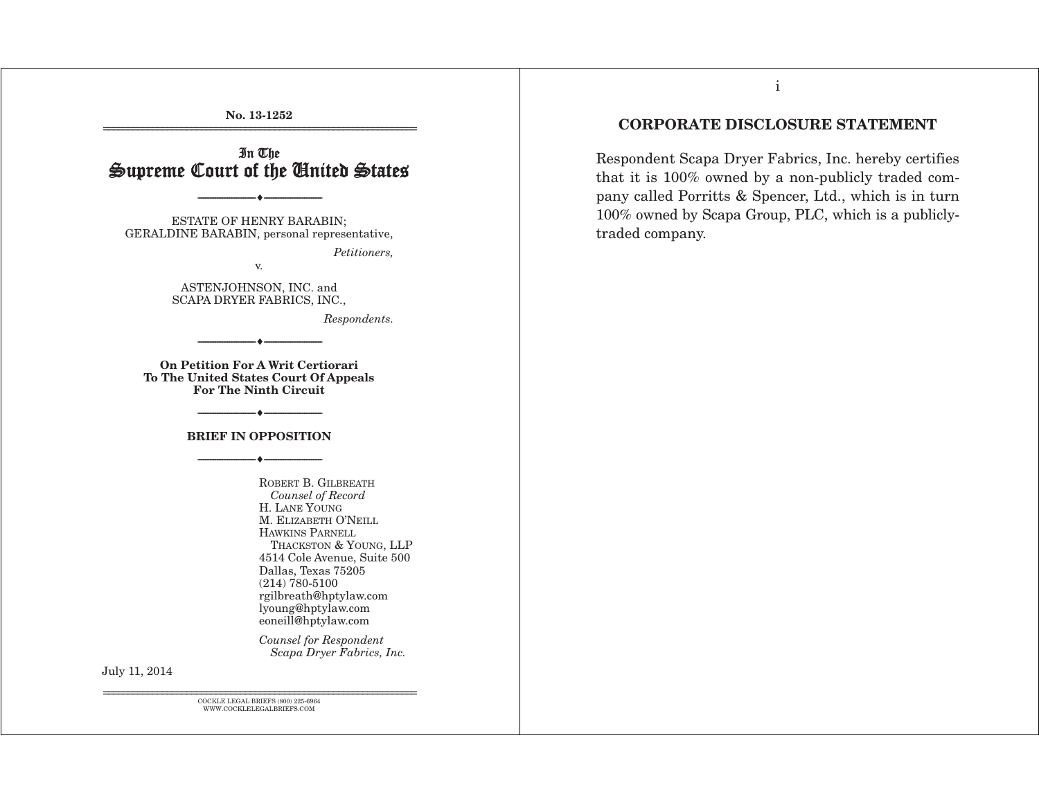**No. 13-1252**  ================================================================

## I n The Supreme Court of the Cinited States  $\,$

--------------------------------- i ---------------------------------

ESTATE OF HENRY BARABIN; GERALDINE BARABIN, personal representative,

*Petitioners,* 

ASTENJOHNSON, INC. and SCAPA DRYER FABRICS, INC.,

v.

*Respondents.* 

**On Petition For A Writ Certiorari To The United States Court Of Appeals For The Ninth Circuit** 

--------------------------------- i ---------------------------------

## --------------------------------- i --------------------------------- **BRIEF IN OPPOSITION**  --------------------------------- i ---------------------------------

ROBERT B. GILBREATH *Counsel of Record* H. LANE YOUNG M. ELIZABETH O'NEILL HAWKINS PARNELL THACKSTON & YOUNG, LLP 4514 Cole Avenue, Suite 500 Dallas, Texas 75205 (214) 780-5100 rgilbreath@hptylaw.com lyoung@hptylaw.com eoneill@hptylaw.com

*Counsel for Respondent Scapa Dryer Fabrics, Inc.*

July 11, 2014

================================================================ COCKLE LEGAL BRIEFS (800) 225-6964 WWW.COCKLELEGALBRIEFS.COM

## **CORPORATE DISCLOSURE STATEMENT**

Respondent Scapa Dryer Fabrics, Inc. hereby certifies that it is 100% owned by a non-publicly traded company called Porritts & Spencer, Ltd., which is in turn 100% owned by Scapa Group, PLC, which is a publiclytraded company.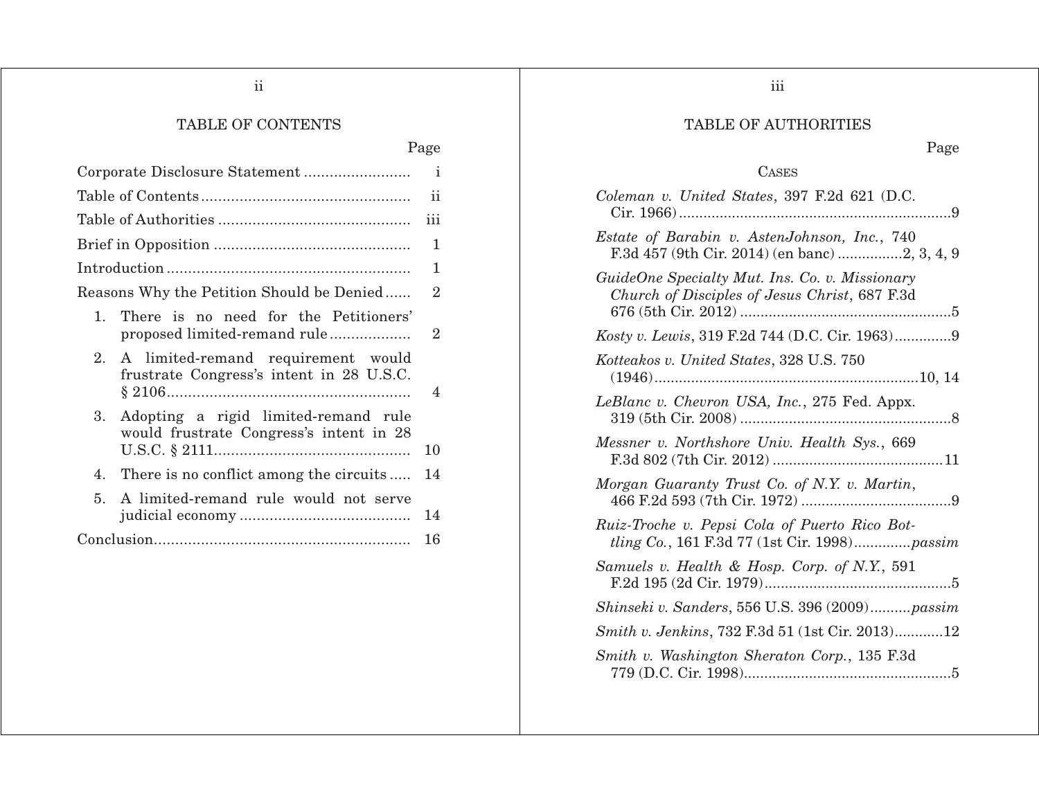ii

## TABLE OF CONTENTS

Page

|                                                                                       | $\mathbf{i}$   |
|---------------------------------------------------------------------------------------|----------------|
|                                                                                       | ii             |
|                                                                                       | 111            |
|                                                                                       | 1              |
|                                                                                       | 1              |
| Reasons Why the Petition Should be Denied                                             | $\overline{2}$ |
| There is no need for the Petitioners'<br>$1_{-}$<br>proposed limited-remand rule      | $\overline{2}$ |
| A limited-remand requirement would<br>2.<br>frustrate Congress's intent in 28 U.S.C.  | 4              |
| Adopting a rigid limited-remand rule<br>3.<br>would frustrate Congress's intent in 28 | 10             |
| There is no conflict among the circuits<br>4.                                         | 14             |
| A limited-remand rule would not serve<br>5.                                           | 14             |
|                                                                                       | 16             |

iii

## TABLE OF AUTHORITIES

## Page

## CASES

| Coleman v. United States, 397 F.2d 621 (D.C.                                                                           |
|------------------------------------------------------------------------------------------------------------------------|
| Estate of Barabin v. AstenJohnson, Inc., 740                                                                           |
| GuideOne Specialty Mut. Ins. Co. v. Missionary<br>Church of Disciples of Jesus Christ, 687 F.3d<br>676 (5th Cir. 2012) |
| Kosty v. Lewis, 319 F.2d 744 (D.C. Cir. 1963)9                                                                         |
| Kotteakos v. United States, 328 U.S. 750<br>10, 14<br>$(1946)$                                                         |
| LeBlanc v. Chevron USA, Inc., 275 Fed. Appx.                                                                           |
| Messner v. Northshore Univ. Health Sys., 669                                                                           |
| Morgan Guaranty Trust Co. of N.Y. v. Martin,                                                                           |
| Ruiz-Troche v. Pepsi Cola of Puerto Rico Bot-<br><i>tling Co.</i> , 161 F.3d 77 (1st Cir. 1998) <i>passim</i>          |
| Samuels v. Health & Hosp. Corp. of N.Y., 591                                                                           |
| Shinseki v. Sanders, 556 U.S. 396 (2009)passim                                                                         |
| Smith v. Jenkins, 732 F.3d 51 (1st Cir. 2013)12                                                                        |
| Smith v. Washington Sheraton Corp., 135 F.3d                                                                           |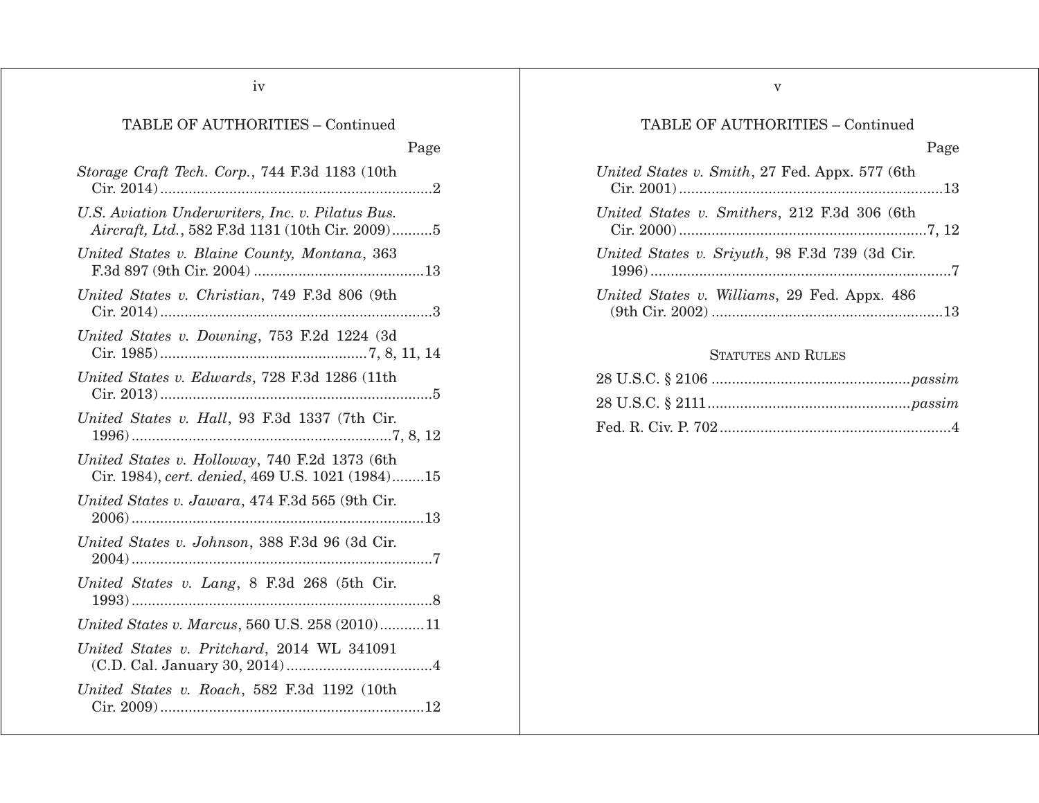iv

# TABLE OF AUTHORITIES – Continued

Page

| Storage Craft Tech. Corp., 744 F.3d 1183 (10th<br>Cir. 2014)                                        |
|-----------------------------------------------------------------------------------------------------|
| U.S. Aviation Underwriters, Inc. v. Pilatus Bus.<br>Aircraft, Ltd., 582 F.3d 1131 (10th Cir. 2009)5 |
| United States v. Blaine County, Montana, 363                                                        |
| United States v. Christian, 749 F.3d 806 (9th                                                       |
| United States v. Downing, 753 F.2d 1224 (3d                                                         |
| United States v. Edwards, 728 F.3d 1286 (11th                                                       |
| United States v. Hall, 93 F.3d 1337 (7th Cir.                                                       |
| United States v. Holloway, 740 F.2d 1373 (6th<br>Cir. 1984), cert. denied, 469 U.S. 1021 (1984)15   |
| United States v. Jawara, 474 F.3d 565 (9th Cir.                                                     |
| United States v. Johnson, 388 F.3d 96 (3d Cir.                                                      |
| United States v. Lang, 8 F.3d 268 (5th Cir.                                                         |
| United States v. Marcus, 560 U.S. 258 (2010)11                                                      |
| United States v. Pritchard, 2014 WL 341091                                                          |
| United States v. Roach, 582 F.3d 1192 (10th                                                         |

# TABLE OF AUTHORITIES – Continued

| United States v. Smith, 27 Fed. Appx. 577 (6th |  |
|------------------------------------------------|--|
| United States v. Smithers, 212 F.3d 306 (6th   |  |
| United States v. Sriyuth, 98 F.3d 739 (3d Cir. |  |
| United States v. Williams, 29 Fed. Appx. 486   |  |

## STATUTES AND RULES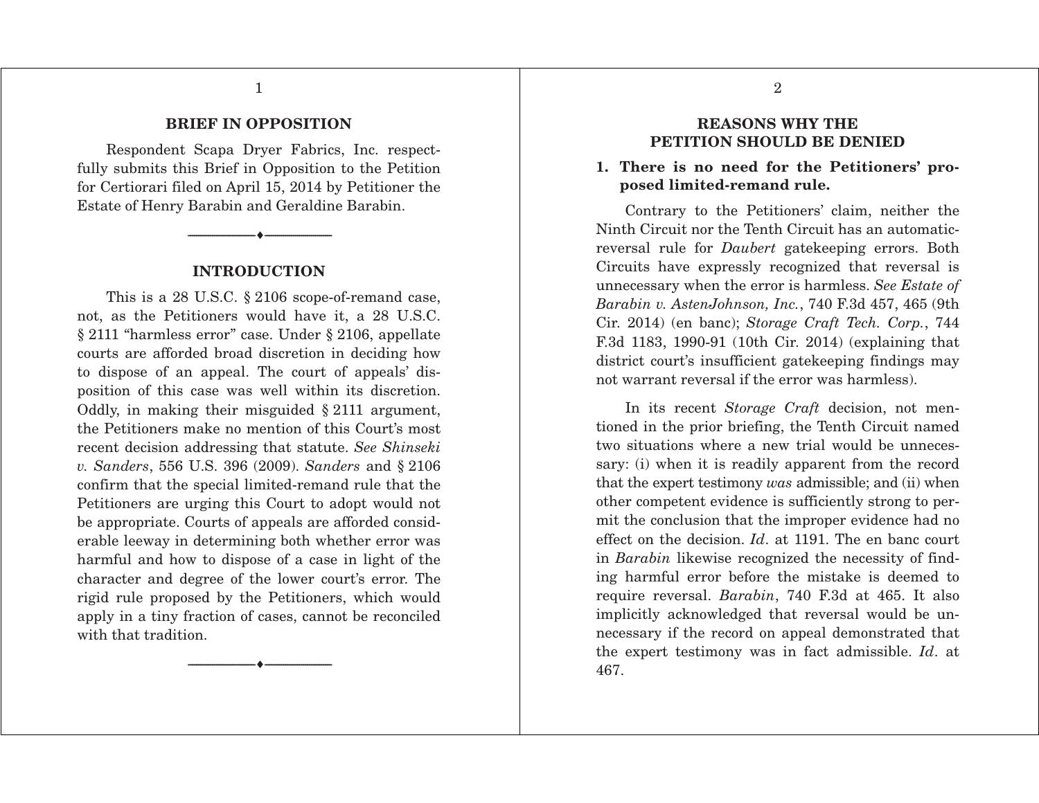1

#### **BRIEF IN OPPOSITION**

 Respondent Scapa Dryer Fabrics, Inc. respectfully submits this Brief in Opposition to the Petition for Certiorari filed on April 15, 2014 by Petitioner the Estate of Henry Barabin and Geraldine Barabin.

#### **INTRODUCTION**

i ---------------------------------

---------------------------------

 This is a 28 U.S.C. § 2106 scope-of-remand case, not, as the Petitioners would have it, a 28 U.S.C. § 2111 "harmless error" case. Under § 2106, appellate courts are afforded broad discretion in deciding how to dispose of an appeal. The court of appeals' disposition of this case was well within its discretion. Oddly, in making their misguided § 2111 argument, the Petitioners make no mention of this Court's most recent decision addressing that statute. *See Shinseki v. Sanders*, 556 U.S. 396 (2009). *Sanders* and § 2106 confirm that the special limited-remand rule that the Petitioners are urging this Court to adopt would not be appropriate. Courts of appeals are afforded considerable leeway in determining both whether error was harmful and how to dispose of a case in light of the character and degree of the lower court's error. The rigid rule proposed by the Petitioners, which would apply in a tiny fraction of cases, cannot be reconciled with that tradition.

---------------------------------

i ---------------------------------

#### **REASONS WHY THE PETITION SHOULD BE DENIED**

### **1. There is no need for the Petitioners' proposed limited-remand rule.**

 Contrary to the Petitioners' claim, neither the Ninth Circuit nor the Tenth Circuit has an automaticreversal rule for *Daubert* gatekeeping errors. Both Circuits have expressly recognized that reversal is unnecessary when the error is harmless. *See Estate of Barabin v. AstenJohnson, Inc.*, 740 F.3d 457, 465 (9th Cir. 2014) (en banc); *Storage Craft Tech. Corp.*, 744 F.3d 1183, 1990-91 (10th Cir. 2014) (explaining that district court's insufficient gatekeeping findings may not warrant reversal if the error was harmless).

 In its recent *Storage Craft* decision, not mentioned in the prior briefing, the Tenth Circuit named two situations where a new trial would be unnecessary: (i) when it is readily apparent from the record that the expert testimony *was* admissible; and (ii) when other competent evidence is sufficiently strong to permit the conclusion that the improper evidence had no effect on the decision. *Id*. at 1191. The en banc court in *Barabin* likewise recognized the necessity of finding harmful error before the mistake is deemed to require reversal. *Barabin*, 740 F.3d at 465. It also implicitly acknowledged that reversal would be unnecessary if the record on appeal demonstrated that the expert testimony was in fact admissible. *Id*. at 467.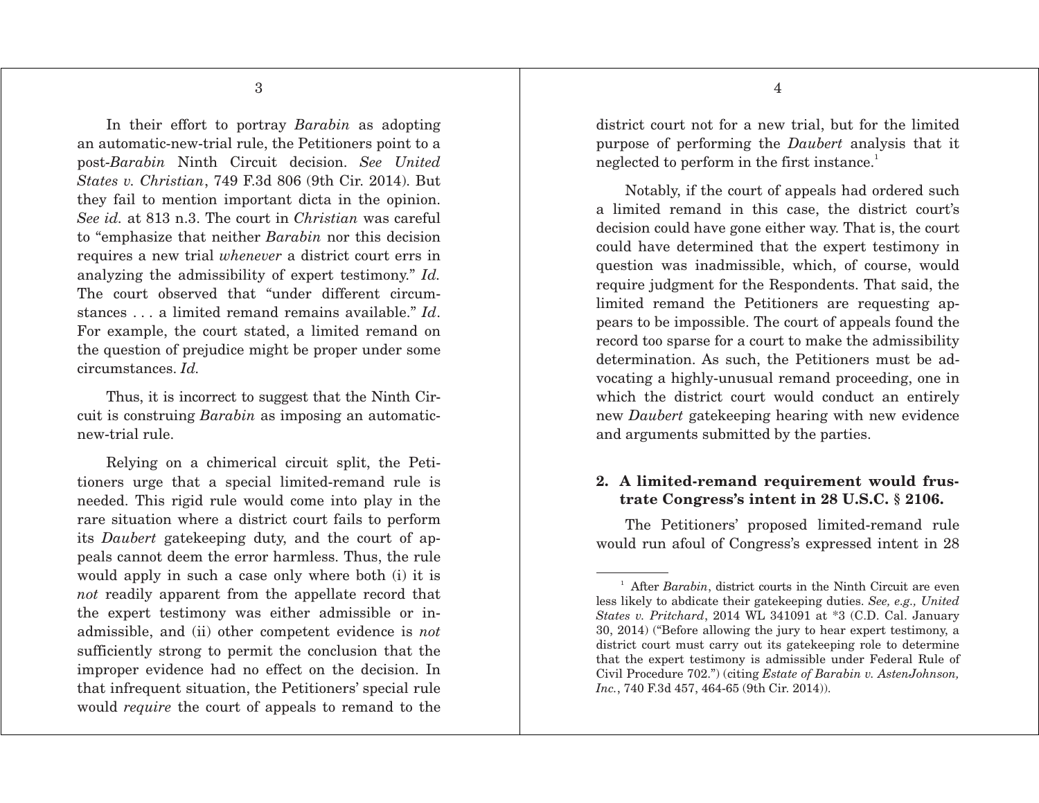In their effort to portray *Barabin* as adopting an automatic-new-trial rule, the Petitioners point to a post-*Barabin* Ninth Circuit decision. *See United States v. Christian*, 749 F.3d 806 (9th Cir. 2014). But they fail to mention important dicta in the opinion. *See id.* at 813 n.3. The court in *Christian* was careful to "emphasize that neither *Barabin* nor this decision requires a new trial *whenever* a district court errs in analyzing the admissibility of expert testimony." *Id.*  The court observed that "under different circumstances . . . a limited remand remains available." *Id*. For example, the court stated, a limited remand on the question of prejudice might be proper under some circumstances. *Id.* 

Thus, it is incorrect to suggest that the Ninth Circuit is construing *Barabin* as imposing an automaticnew-trial rule.

 Relying on a chimerical circuit split, the Petitioners urge that a special limited-remand rule is needed. This rigid rule would come into play in the rare situation where a district court fails to perform its *Daubert* gatekeeping duty, and the court of appeals cannot deem the error harmless. Thus, the rule would apply in such a case only where both (i) it is *not* readily apparent from the appellate record that the expert testimony was either admissible or inadmissible, and (ii) other competent evidence is *not* sufficiently strong to permit the conclusion that the improper evidence had no effect on the decision. In that infrequent situation, the Petitioners' special rule would *require* the court of appeals to remand to the district court not for a new trial, but for the limited purpose of performing the *Daubert* analysis that it neglected to perform in the first instance.<sup>1</sup>

 Notably, if the court of appeals had ordered such a limited remand in this case, the district court's decision could have gone either way. That is, the court could have determined that the expert testimony in question was inadmissible, which, of course, would require judgment for the Respondents. That said, the limited remand the Petitioners are requesting appears to be impossible. The court of appeals found the record too sparse for a court to make the admissibility determination. As such, the Petitioners must be advocating a highly-unusual remand proceeding, one in which the district court would conduct an entirely new *Daubert* gatekeeping hearing with new evidence and arguments submitted by the parties.

### **2. A limited-remand requirement would frustrate Congress's intent in 28 U.S.C. § 2106.**

 The Petitioners' proposed limited-remand rule would run afoul of Congress's expressed intent in 28

<sup>&</sup>lt;sup>1</sup> After *Barabin*, district courts in the Ninth Circuit are even less likely to abdicate their gatekeeping duties. *See, e.g., United States v. Pritchard*, 2014 WL 341091 at \*3 (C.D. Cal. January 30, 2014) ("Before allowing the jury to hear expert testimony, a district court must carry out its gatekeeping role to determine that the expert testimony is admissible under Federal Rule of Civil Procedure 702.") (citing *Estate of Barabin v. AstenJohnson, Inc.*, 740 F.3d 457, 464-65 (9th Cir. 2014)).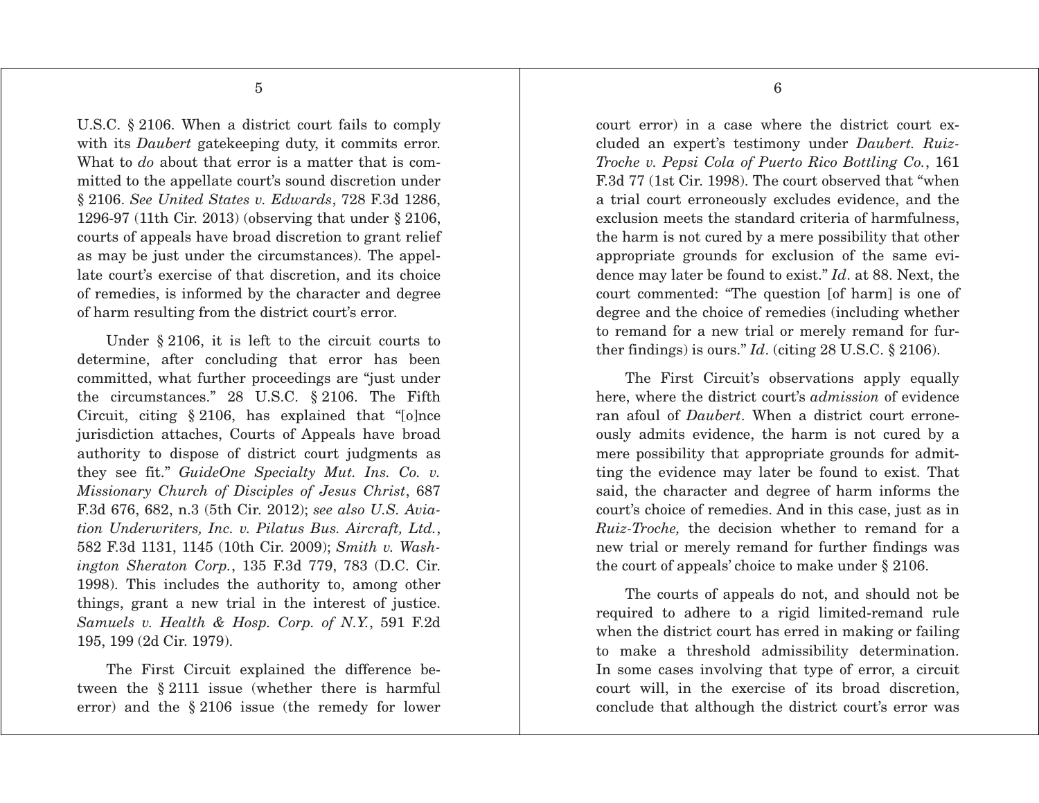5

U.S.C. § 2106. When a district court fails to comply with its *Daubert* gatekeeping duty, it commits error. What to *do* about that error is a matter that is committed to the appellate court's sound discretion under § 2106. *See United States v. Edwards*, 728 F.3d 1286, 1296-97 (11th Cir. 2013) (observing that under § 2106, courts of appeals have broad discretion to grant relief as may be just under the circumstances). The appellate court's exercise of that discretion, and its choice of remedies, is informed by the character and degree of harm resulting from the district court's error.

 Under § 2106, it is left to the circuit courts to determine, after concluding that error has been committed, what further proceedings are "just under the circumstances." 28 U.S.C. § 2106. The Fifth Circuit, citing § 2106, has explained that "[o]nce jurisdiction attaches, Courts of Appeals have broad authority to dispose of district court judgments as they see fit." *GuideOne Specialty Mut. Ins. Co. v. Missionary Church of Disciples of Jesus Christ*, 687 F.3d 676, 682, n.3 (5th Cir. 2012); *see also U.S. Aviation Underwriters, Inc. v. Pilatus Bus. Aircraft, Ltd.*, 582 F.3d 1131, 1145 (10th Cir. 2009); *Smith v. Washington Sheraton Corp.*, 135 F.3d 779, 783 (D.C. Cir. 1998). This includes the authority to, among other things, grant a new trial in the interest of justice. *Samuels v. Health & Hosp. Corp. of N.Y.*, 591 F.2d 195, 199 (2d Cir. 1979).

 The First Circuit explained the difference between the § 2111 issue (whether there is harmful error) and the § 2106 issue (the remedy for lower court error) in a case where the district court excluded an expert's testimony under *Daubert. Ruiz-Troche v. Pepsi Cola of Puerto Rico Bottling Co.*, 161 F.3d 77 (1st Cir. 1998). The court observed that "when a trial court erroneously excludes evidence, and the exclusion meets the standard criteria of harmfulness, the harm is not cured by a mere possibility that other appropriate grounds for exclusion of the same evidence may later be found to exist." *Id*. at 88. Next, the court commented: "The question [of harm] is one of degree and the choice of remedies (including whether to remand for a new trial or merely remand for further findings) is ours." *Id*. (citing 28 U.S.C. § 2106).

 The First Circuit's observations apply equally here, where the district court's *admission* of evidence ran afoul of *Daubert*. When a district court erroneously admits evidence, the harm is not cured by a mere possibility that appropriate grounds for admitting the evidence may later be found to exist. That said, the character and degree of harm informs the court's choice of remedies. And in this case, just as in *Ruiz-Troche,* the decision whether to remand for a new trial or merely remand for further findings was the court of appeals' choice to make under § 2106.

 The courts of appeals do not, and should not be required to adhere to a rigid limited-remand rule when the district court has erred in making or failing to make a threshold admissibility determination. In some cases involving that type of error, a circuit court will, in the exercise of its broad discretion, conclude that although the district court's error was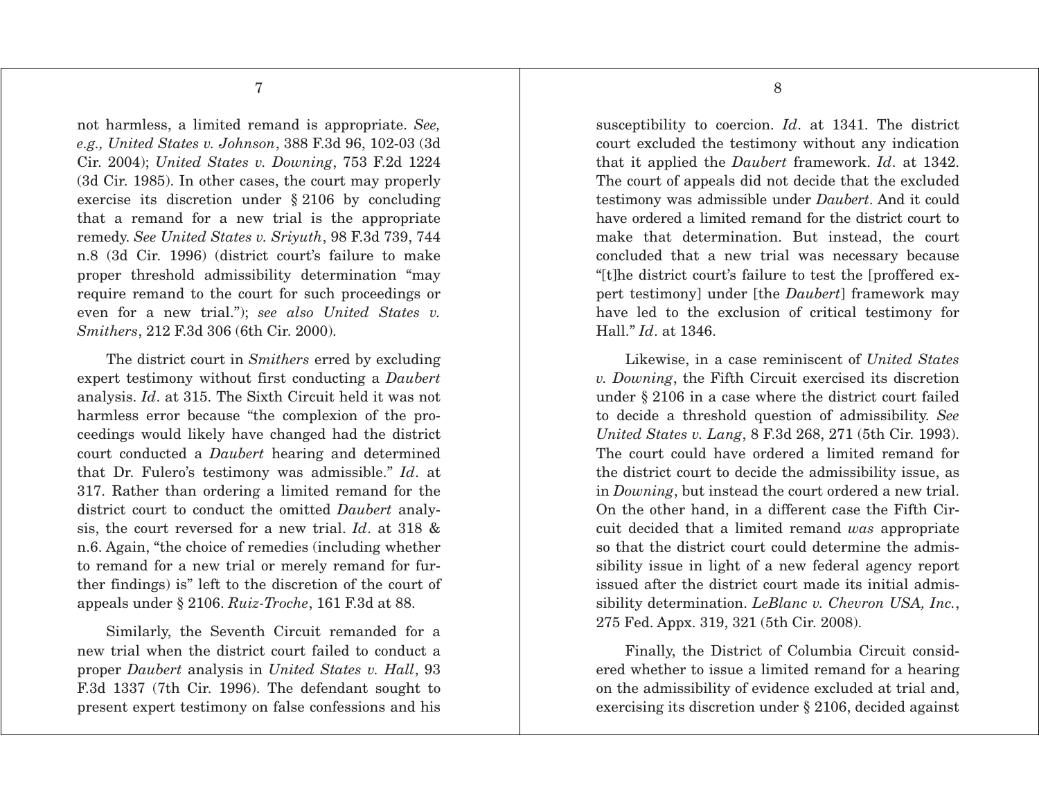7

not harmless, a limited remand is appropriate. *See, e.g., United States v. Johnson*, 388 F.3d 96, 102-03 (3d Cir. 2004); *United States v. Downing*, 753 F.2d 1224 (3d Cir. 1985). In other cases, the court may properly exercise its discretion under § 2106 by concluding that a remand for a new trial is the appropriate remedy. *See United States v. Sriyuth*, 98 F.3d 739, 744 n.8 (3d Cir. 1996) (district court's failure to make proper threshold admissibility determination "may require remand to the court for such proceedings or even for a new trial."); *see also United States v. Smithers*, 212 F.3d 306 (6th Cir. 2000).

 The district court in *Smithers* erred by excluding expert testimony without first conducting a *Daubert* analysis. *Id*. at 315. The Sixth Circuit held it was not harmless error because "the complexion of the proceedings would likely have changed had the district court conducted a *Daubert* hearing and determined that Dr. Fulero's testimony was admissible." *Id*. at 317. Rather than ordering a limited remand for the district court to conduct the omitted *Daubert* analysis, the court reversed for a new trial. *Id*. at 318 & n.6. Again, "the choice of remedies (including whether to remand for a new trial or merely remand for further findings) is" left to the discretion of the court of appeals under § 2106. *Ruiz-Troche*, 161 F.3d at 88.

 Similarly, the Seventh Circuit remanded for a new trial when the district court failed to conduct a proper *Daubert* analysis in *United States v. Hall*, 93 F.3d 1337 (7th Cir. 1996). The defendant sought to present expert testimony on false confessions and his susceptibility to coercion. *Id*. at 1341. The district court excluded the testimony without any indication that it applied the *Daubert* framework. *Id*. at 1342. The court of appeals did not decide that the excluded testimony was admissible under *Daubert*. And it could have ordered a limited remand for the district court to make that determination. But instead, the court concluded that a new trial was necessary because "[t]he district court's failure to test the [proffered expert testimony] under [the *Daubert*] framework may have led to the exclusion of critical testimony for Hall." *Id*. at 1346.

 Likewise, in a case reminiscent of *United States v. Downing*, the Fifth Circuit exercised its discretion under § 2106 in a case where the district court failed to decide a threshold question of admissibility. *See United States v. Lang*, 8 F.3d 268, 271 (5th Cir. 1993). The court could have ordered a limited remand for the district court to decide the admissibility issue, as in *Downing*, but instead the court ordered a new trial. On the other hand, in a different case the Fifth Circuit decided that a limited remand *was* appropriate so that the district court could determine the admissibility issue in light of a new federal agency report issued after the district court made its initial admissibility determination. *LeBlanc v. Chevron USA, Inc.*, 275 Fed. Appx. 319, 321 (5th Cir. 2008).

 Finally, the District of Columbia Circuit considered whether to issue a limited remand for a hearing on the admissibility of evidence excluded at trial and, exercising its discretion under § 2106, decided against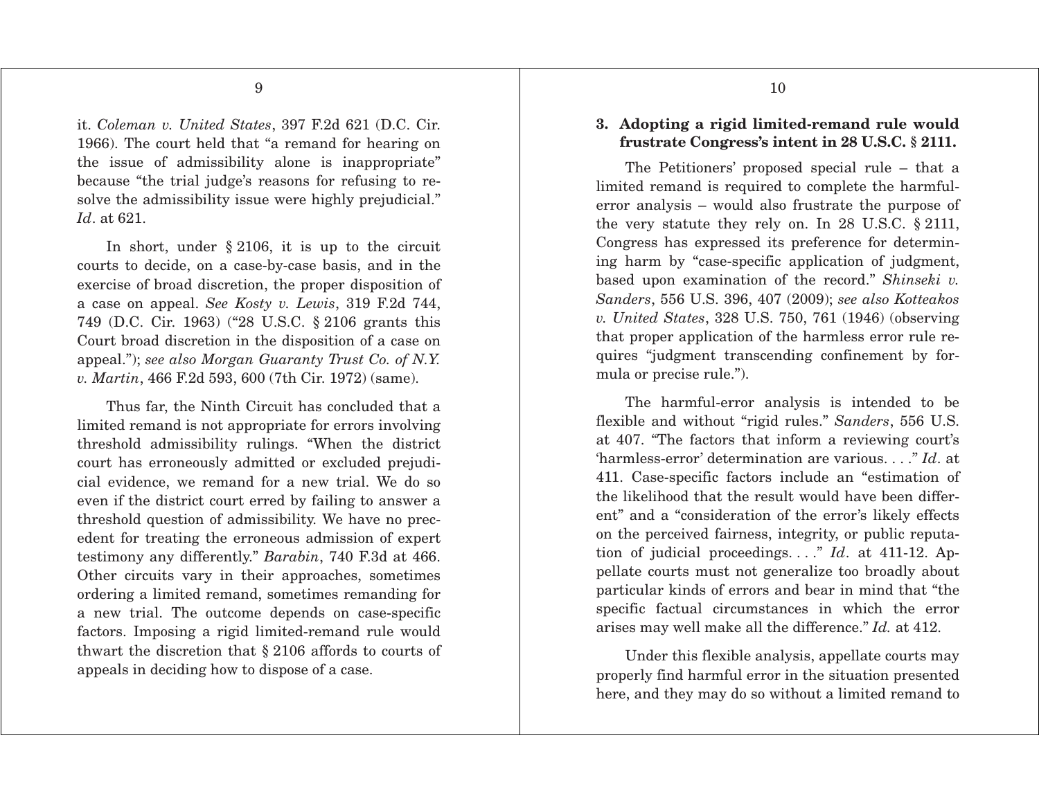it. *Coleman v. United States*, 397 F.2d 621 (D.C. Cir. 1966). The court held that "a remand for hearing on the issue of admissibility alone is inappropriate" because "the trial judge's reasons for refusing to resolve the admissibility issue were highly prejudicial." *Id*. at 621.

 In short, under § 2106, it is up to the circuit courts to decide, on a case-by-case basis, and in the exercise of broad discretion, the proper disposition of a case on appeal. *See Kosty v. Lewis*, 319 F.2d 744, 749 (D.C. Cir. 1963) ("28 U.S.C. § 2106 grants this Court broad discretion in the disposition of a case on appeal."); *see also Morgan Guaranty Trust Co. of N.Y. v. Martin*, 466 F.2d 593, 600 (7th Cir. 1972) (same).

 Thus far, the Ninth Circuit has concluded that a limited remand is not appropriate for errors involving threshold admissibility rulings. "When the district court has erroneously admitted or excluded prejudicial evidence, we remand for a new trial. We do so even if the district court erred by failing to answer a threshold question of admissibility. We have no precedent for treating the erroneous admission of expert testimony any differently." *Barabin*, 740 F.3d at 466. Other circuits vary in their approaches, sometimes ordering a limited remand, sometimes remanding for a new trial. The outcome depends on case-specific factors. Imposing a rigid limited-remand rule would thwart the discretion that § 2106 affords to courts of appeals in deciding how to dispose of a case.

### **3. Adopting a rigid limited-remand rule would frustrate Congress's intent in 28 U.S.C. § 2111.**

 The Petitioners' proposed special rule – that a limited remand is required to complete the harmfulerror analysis – would also frustrate the purpose of the very statute they rely on. In 28 U.S.C. § 2111, Congress has expressed its preference for determining harm by "case-specific application of judgment, based upon examination of the record." *Shinseki v. Sanders*, 556 U.S. 396, 407 (2009); *see also Kotteakos v. United States*, 328 U.S. 750, 761 (1946) (observing that proper application of the harmless error rule requires "judgment transcending confinement by formula or precise rule.").

 The harmful-error analysis is intended to be flexible and without "rigid rules." *Sanders*, 556 U.S. at 407. "The factors that inform a reviewing court's 'harmless-error' determination are various. . . ." *Id*. at 411. Case-specific factors include an "estimation of the likelihood that the result would have been different" and a "consideration of the error's likely effects on the perceived fairness, integrity, or public reputation of judicial proceedings. . . ." *Id*. at 411-12. Appellate courts must not generalize too broadly about particular kinds of errors and bear in mind that "the specific factual circumstances in which the error arises may well make all the difference." *Id.* at 412.

 Under this flexible analysis, appellate courts may properly find harmful error in the situation presented here, and they may do so without a limited remand to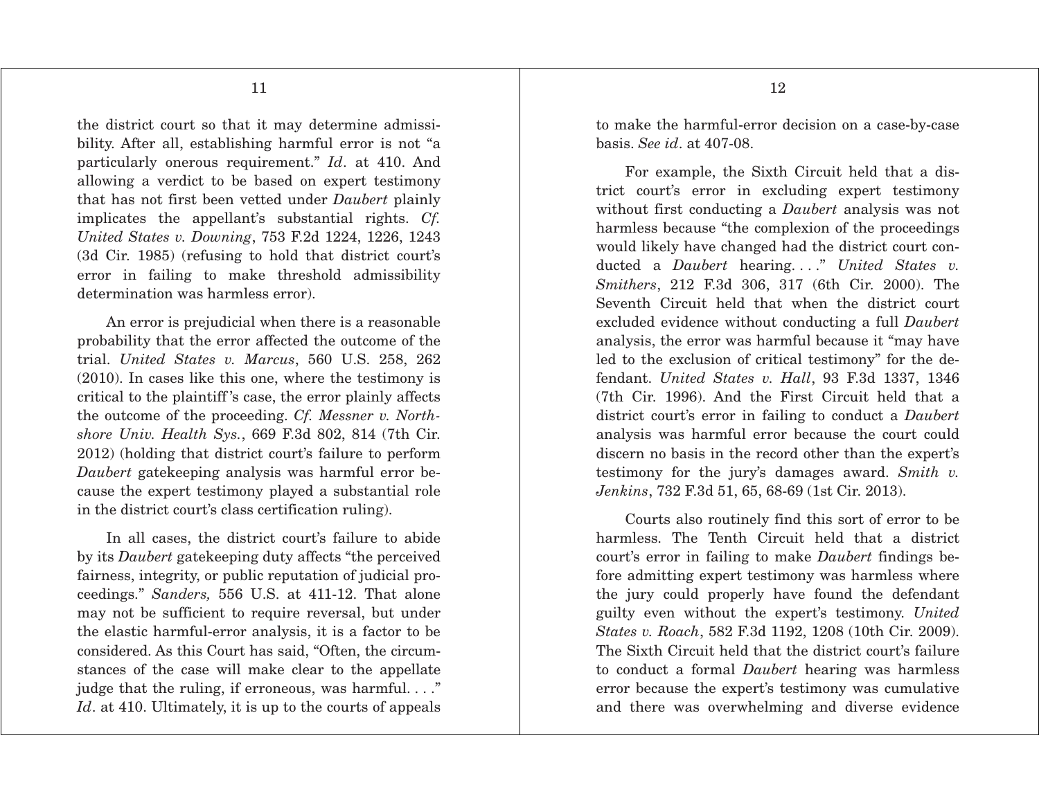the district court so that it may determine admissibility. After all, establishing harmful error is not "a particularly onerous requirement." *Id*. at 410. And allowing a verdict to be based on expert testimony that has not first been vetted under *Daubert* plainly implicates the appellant's substantial rights. *Cf. United States v. Downing*, 753 F.2d 1224, 1226, 1243 (3d Cir. 1985) (refusing to hold that district court's error in failing to make threshold admissibility determination was harmless error).

An error is prejudicial when there is a reasonable probability that the error affected the outcome of the trial. *United States v. Marcus*, 560 U.S. 258, 262 (2010). In cases like this one, where the testimony is critical to the plaintiff 's case, the error plainly affects the outcome of the proceeding. *Cf. Messner v. Northshore Univ. Health Sys.*, 669 F.3d 802, 814 (7th Cir. 2012) (holding that district court's failure to perform *Daubert* gatekeeping analysis was harmful error because the expert testimony played a substantial role in the district court's class certification ruling).

 In all cases, the district court's failure to abide by its *Daubert* gatekeeping duty affects "the perceived fairness, integrity, or public reputation of judicial proceedings." *Sanders,* 556 U.S. at 411-12. That alone may not be sufficient to require reversal, but under the elastic harmful-error analysis, it is a factor to be considered. As this Court has said, "Often, the circumstances of the case will make clear to the appellate judge that the ruling, if erroneous, was harmful. . . ." *Id.* at 410. Ultimately, it is up to the courts of appeals

to make the harmful-error decision on a case-by-case basis. *See id*. at 407-08.

 For example, the Sixth Circuit held that a district court's error in excluding expert testimony without first conducting a *Daubert* analysis was not harmless because "the complexion of the proceedings would likely have changed had the district court conducted a *Daubert* hearing...." *United States v. Smithers*, 212 F.3d 306, 317 (6th Cir. 2000). The Seventh Circuit held that when the district court excluded evidence without conducting a full *Daubert* analysis, the error was harmful because it "may have led to the exclusion of critical testimony" for the defendant. *United States v. Hall*, 93 F.3d 1337, 1346 (7th Cir. 1996). And the First Circuit held that a district court's error in failing to conduct a *Daubert* analysis was harmful error because the court could discern no basis in the record other than the expert's testimony for the jury's damages award. *Smith v. Jenkins*, 732 F.3d 51, 65, 68-69 (1st Cir. 2013).

 Courts also routinely find this sort of error to be harmless. The Tenth Circuit held that a district court's error in failing to make *Daubert* findings before admitting expert testimony was harmless where the jury could properly have found the defendant guilty even without the expert's testimony. *United States v. Roach*, 582 F.3d 1192, 1208 (10th Cir. 2009). The Sixth Circuit held that the district court's failure to conduct a formal *Daubert* hearing was harmless error because the expert's testimony was cumulative and there was overwhelming and diverse evidence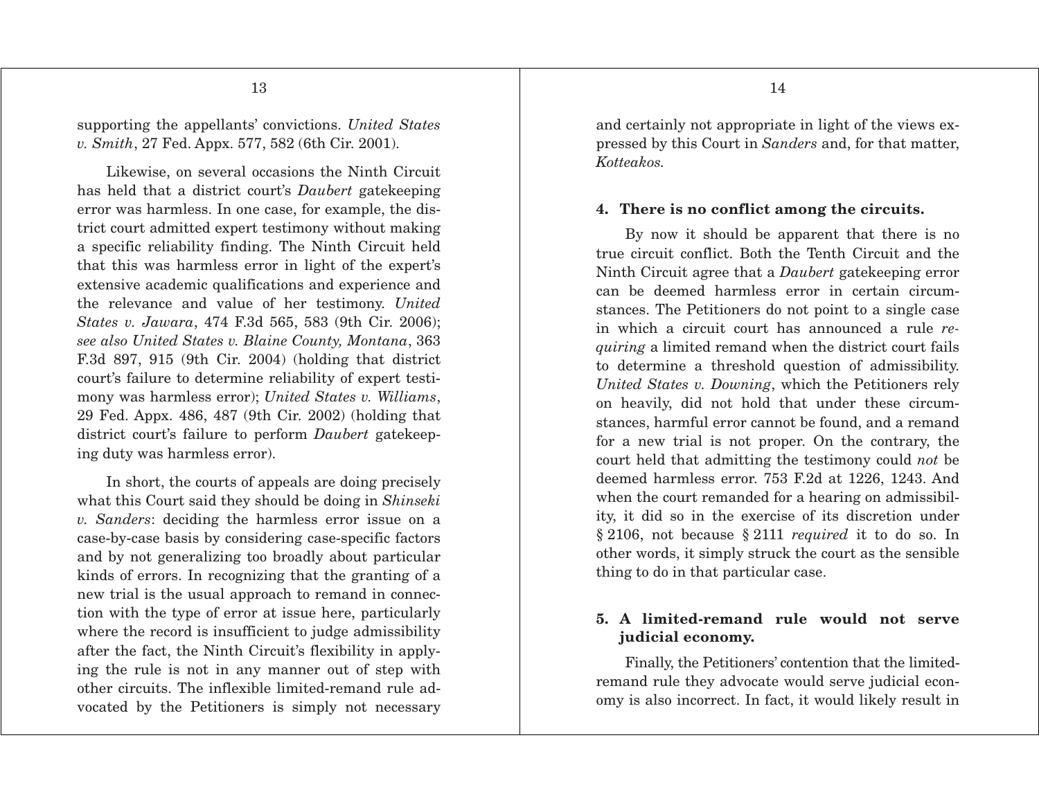supporting the appellants' convictions. *United States v. Smith*, 27 Fed. Appx. 577, 582 (6th Cir. 2001).

 Likewise, on several occasions the Ninth Circuit has held that a district court's *Daubert* gatekeeping error was harmless. In one case, for example, the district court admitted expert testimony without making a specific reliability finding. The Ninth Circuit held that this was harmless error in light of the expert's extensive academic qualifications and experience and the relevance and value of her testimony. *United States v. Jawara*, 474 F.3d 565, 583 (9th Cir. 2006); *see also United States v. Blaine County, Montana*, 363 F.3d 897, 915 (9th Cir. 2004) (holding that district court's failure to determine reliability of expert testimony was harmless error); *United States v. Williams*, 29 Fed. Appx. 486, 487 (9th Cir. 2002) (holding that district court's failure to perform *Daubert* gatekeeping duty was harmless error).

 In short, the courts of appeals are doing precisely what this Court said they should be doing in *Shinseki v. Sanders*: deciding the harmless error issue on a case-by-case basis by considering case-specific factors and by not generalizing too broadly about particular kinds of errors. In recognizing that the granting of a new trial is the usual approach to remand in connection with the type of error at issue here, particularly where the record is insufficient to judge admissibility after the fact, the Ninth Circuit's flexibility in applying the rule is not in any manner out of step with other circuits. The inflexible limited-remand rule advocated by the Petitioners is simply not necessary

and certainly not appropriate in light of the views expressed by this Court in *Sanders* and, for that matter, *Kotteakos.*

#### **4. There is no conflict among the circuits.**

 By now it should be apparent that there is no true circuit conflict. Both the Tenth Circuit and the Ninth Circuit agree that a *Daubert* gatekeeping error can be deemed harmless error in certain circumstances. The Petitioners do not point to a single case in which a circuit court has announced a rule *requiring* a limited remand when the district court fails to determine a threshold question of admissibility. *United States v. Downing*, which the Petitioners rely on heavily, did not hold that under these circumstances, harmful error cannot be found, and a remand for a new trial is not proper. On the contrary, the court held that admitting the testimony could *not* be deemed harmless error. 753 F.2d at 1226, 1243. And when the court remanded for a hearing on admissibility, it did so in the exercise of its discretion under § 2106, not because § 2111 *required* it to do so. In other words, it simply struck the court as the sensible thing to do in that particular case.

### **5. A limited-remand rule would not serve judicial economy.**

 Finally, the Petitioners' contention that the limitedremand rule they advocate would serve judicial economy is also incorrect. In fact, it would likely result in